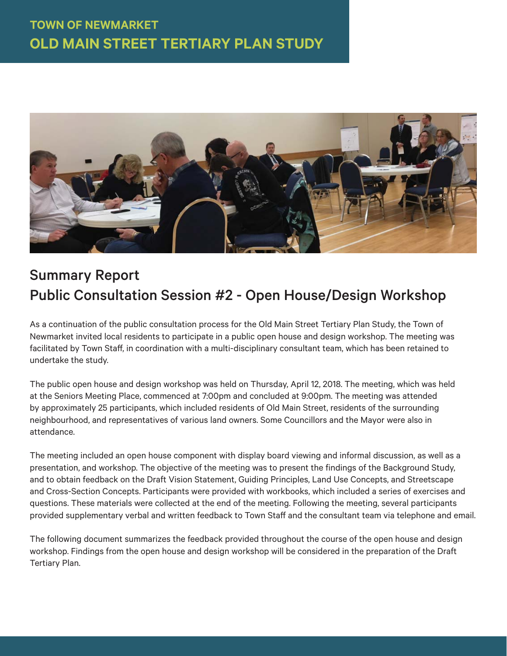

# Summary Report Public Consultation Session #2 - Open House/Design Workshop

As a continuation of the public consultation process for the Old Main Street Tertiary Plan Study, the Town of Newmarket invited local residents to participate in a public open house and design workshop. The meeting was facilitated by Town Staff, in coordination with a multi-disciplinary consultant team, which has been retained to undertake the study.

The public open house and design workshop was held on Thursday, April 12, 2018. The meeting, which was held at the Seniors Meeting Place, commenced at 7:00pm and concluded at 9:00pm. The meeting was attended by approximately 25 participants, which included residents of Old Main Street, residents of the surrounding neighbourhood, and representatives of various land owners. Some Councillors and the Mayor were also in attendance.

The meeting included an open house component with display board viewing and informal discussion, as well as a presentation, and workshop. The objective of the meeting was to present the findings of the Background Study, and to obtain feedback on the Draft Vision Statement, Guiding Principles, Land Use Concepts, and Streetscape and Cross-Section Concepts. Participants were provided with workbooks, which included a series of exercises and questions. These materials were collected at the end of the meeting. Following the meeting, several participants provided supplementary verbal and written feedback to Town Staff and the consultant team via telephone and email.

The following document summarizes the feedback provided throughout the course of the open house and design workshop. Findings from the open house and design workshop will be considered in the preparation of the Draft Tertiary Plan.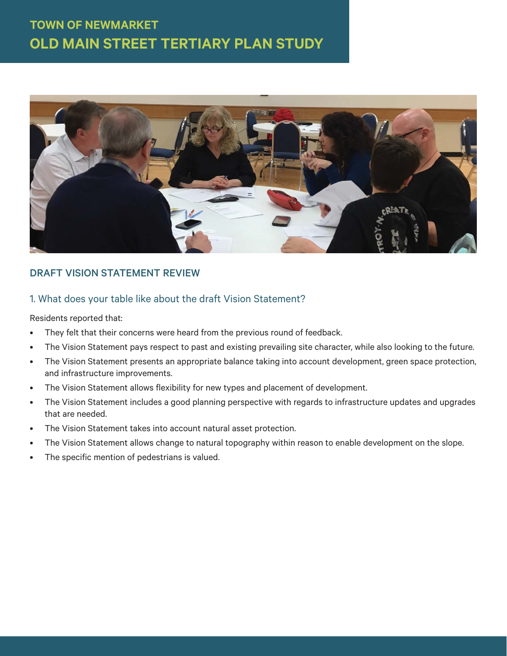

## DRAFT VISION STATEMENT REVIEW

### 1. What does your table like about the draft Vision Statement?

- They felt that their concerns were heard from the previous round of feedback.
- The Vision Statement pays respect to past and existing prevailing site character, while also looking to the future.
- The Vision Statement presents an appropriate balance taking into account development, green space protection, and infrastructure improvements.
- The Vision Statement allows flexibility for new types and placement of development.
- The Vision Statement includes a good planning perspective with regards to infrastructure updates and upgrades that are needed.
- The Vision Statement takes into account natural asset protection.
- The Vision Statement allows change to natural topography within reason to enable development on the slope.
- The specific mention of pedestrians is valued.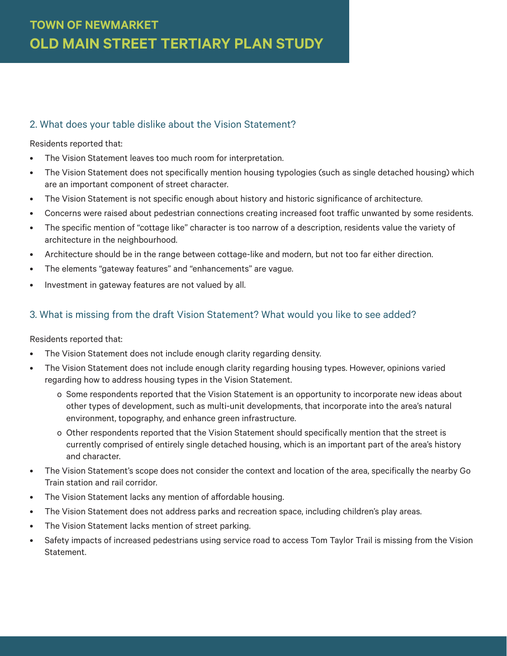## 2. What does your table dislike about the Vision Statement?

#### Residents reported that:

- The Vision Statement leaves too much room for interpretation.
- The Vision Statement does not specifically mention housing typologies (such as single detached housing) which are an important component of street character.
- The Vision Statement is not specific enough about history and historic significance of architecture.
- Concerns were raised about pedestrian connections creating increased foot traffic unwanted by some residents.
- The specific mention of "cottage like" character is too narrow of a description, residents value the variety of architecture in the neighbourhood.
- Architecture should be in the range between cottage-like and modern, but not too far either direction.
- The elements "gateway features" and "enhancements" are vague.
- Investment in gateway features are not valued by all.

### 3. What is missing from the draft Vision Statement? What would you like to see added?

- The Vision Statement does not include enough clarity regarding density.
- The Vision Statement does not include enough clarity regarding housing types. However, opinions varied regarding how to address housing types in the Vision Statement.
	- o Some respondents reported that the Vision Statement is an opportunity to incorporate new ideas about other types of development, such as multi-unit developments, that incorporate into the area's natural environment, topography, and enhance green infrastructure.
	- o Other respondents reported that the Vision Statement should specifically mention that the street is currently comprised of entirely single detached housing, which is an important part of the area's history and character.
- The Vision Statement's scope does not consider the context and location of the area, specifically the nearby Go Train station and rail corridor.
- The Vision Statement lacks any mention of affordable housing.
- The Vision Statement does not address parks and recreation space, including children's play areas.
- The Vision Statement lacks mention of street parking.
- Safety impacts of increased pedestrians using service road to access Tom Taylor Trail is missing from the Vision Statement.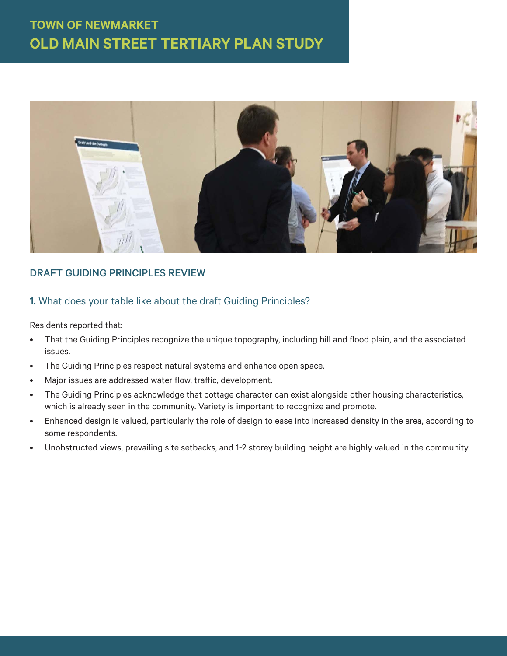

## DRAFT GUIDING PRINCIPLES REVIEW

## 1. What does your table like about the draft Guiding Principles?

- That the Guiding Principles recognize the unique topography, including hill and flood plain, and the associated issues.
- The Guiding Principles respect natural systems and enhance open space.
- Major issues are addressed water flow, traffic, development.
- The Guiding Principles acknowledge that cottage character can exist alongside other housing characteristics, which is already seen in the community. Variety is important to recognize and promote.
- Enhanced design is valued, particularly the role of design to ease into increased density in the area, according to some respondents.
- Unobstructed views, prevailing site setbacks, and 1-2 storey building height are highly valued in the community.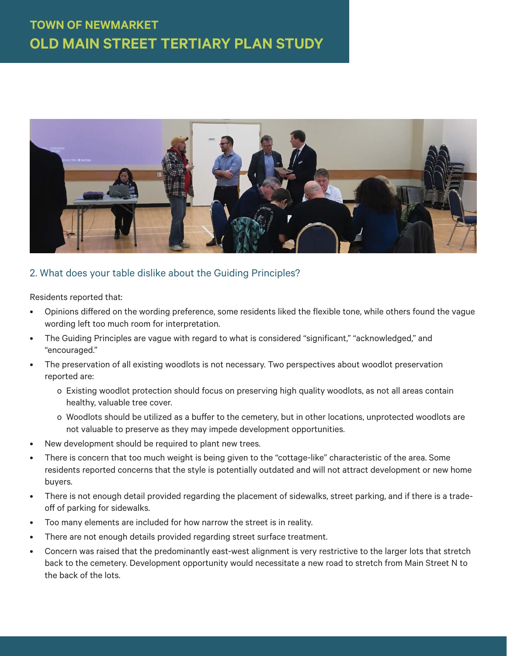

### 2. What does your table dislike about the Guiding Principles?

- Opinions diff ered on the wording preference, some residents liked the flexible tone, while others found the vague wording left too much room for interpretation.
- The Guiding Principles are vague with regard to what is considered "significant," "acknowledged," and "encouraged."
- The preservation of all existing woodlots is not necessary. Two perspectives about woodlot preservation reported are:
	- o Existing woodlot protection should focus on preserving high quality woodlots, as not all areas contain healthy, valuable tree cover.
	- o Woodlots should be utilized as a buffer to the cemetery, but in other locations, unprotected woodlots are not valuable to preserve as they may impede development opportunities.
- New development should be required to plant new trees.
- There is concern that too much weight is being given to the "cottage-like" characteristic of the area. Some residents reported concerns that the style is potentially outdated and will not attract development or new home buyers.
- There is not enough detail provided regarding the placement of sidewalks, street parking, and if there is a tradeoff of parking for sidewalks.
- Too many elements are included for how narrow the street is in reality.
- There are not enough details provided regarding street surface treatment.
- Concern was raised that the predominantly east-west alignment is very restrictive to the larger lots that stretch back to the cemetery. Development opportunity would necessitate a new road to stretch from Main Street N to the back of the lots.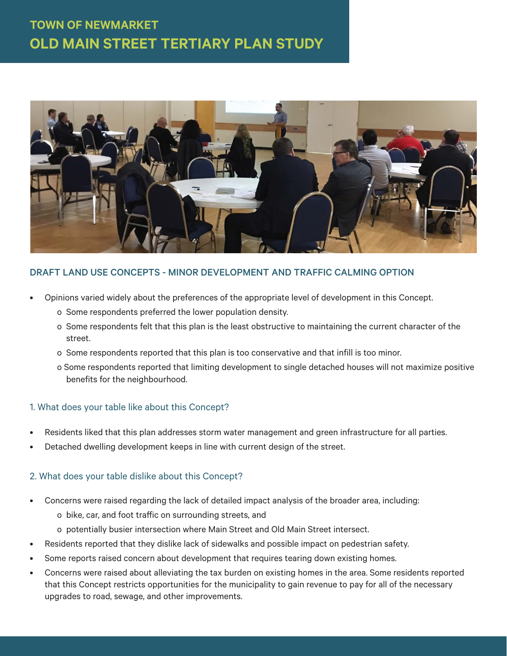

### DRAFT LAND USE CONCEPTS - MINOR DEVELOPMENT AND TRAFFIC CALMING OPTION

- Opinions varied widely about the preferences of the appropriate level of development in this Concept.
	- o Some respondents preferred the lower population density.
	- o Some respondents felt that this plan is the least obstructive to maintaining the current character of the street.
	- o Some respondents reported that this plan is too conservative and that infill is too minor.
	- o Some respondents reported that limiting development to single detached houses will not maximize positive benefits for the neighbourhood.

### 1. What does your table like about this Concept?

- Residents liked that this plan addresses storm water management and green infrastructure for all parties.
- Detached dwelling development keeps in line with current design of the street.

### 2. What does your table dislike about this Concept?

- Concerns were raised regarding the lack of detailed impact analysis of the broader area, including:
	- o bike, car, and foot traffic on surrounding streets, and
	- o potentially busier intersection where Main Street and Old Main Street intersect.
- Residents reported that they dislike lack of sidewalks and possible impact on pedestrian safety.
- Some reports raised concern about development that requires tearing down existing homes.
- Concerns were raised about alleviating the tax burden on existing homes in the area. Some residents reported that this Concept restricts opportunities for the municipality to gain revenue to pay for all of the necessary upgrades to road, sewage, and other improvements.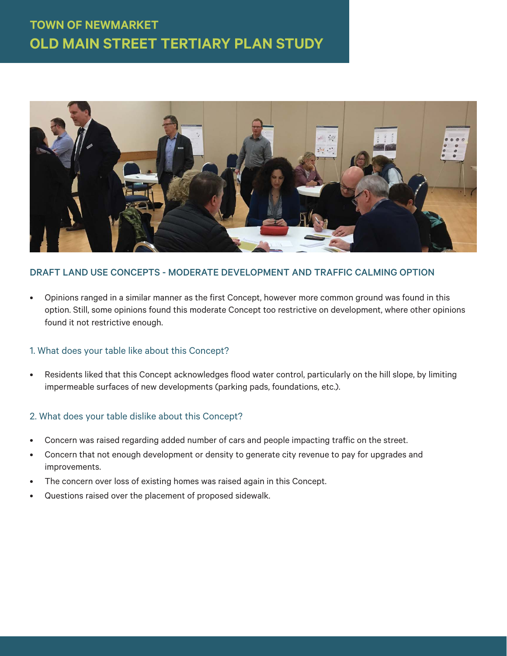

### DRAFT LAND USE CONCEPTS - MODERATE DEVELOPMENT AND TRAFFIC CALMING OPTION

• Opinions ranged in a similar manner as the first Concept, however more common ground was found in this option. Still, some opinions found this moderate Concept too restrictive on development, where other opinions found it not restrictive enough.

### 1. What does your table like about this Concept?

• Residents liked that this Concept acknowledges flood water control, particularly on the hill slope, by limiting impermeable surfaces of new developments (parking pads, foundations, etc.).

### 2. What does your table dislike about this Concept?

- Concern was raised regarding added number of cars and people impacting traffic on the street.
- Concern that not enough development or density to generate city revenue to pay for upgrades and improvements.
- The concern over loss of existing homes was raised again in this Concept.
- Questions raised over the placement of proposed sidewalk.